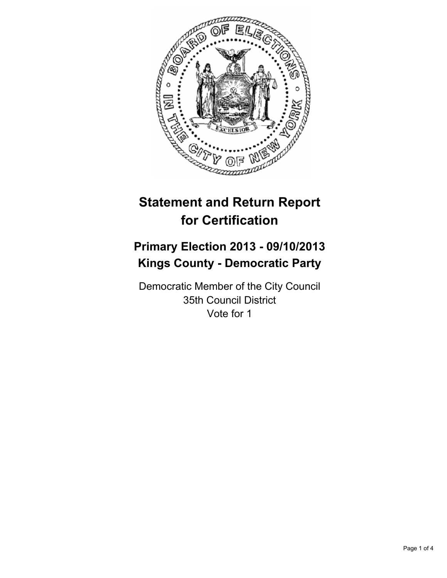

# **Statement and Return Report for Certification**

# **Primary Election 2013 - 09/10/2013 Kings County - Democratic Party**

Democratic Member of the City Council 35th Council District Vote for 1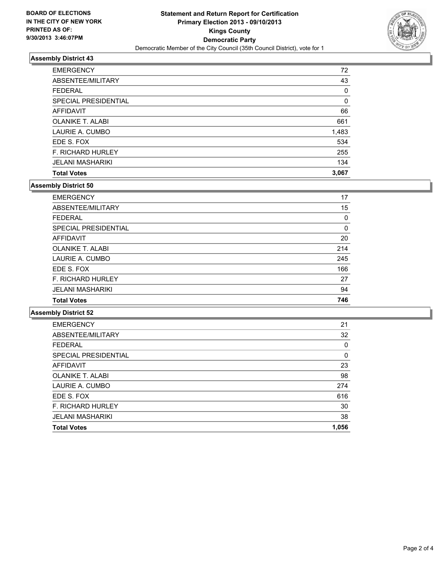

# **Assembly District 43**

| <b>Total Votes</b>       | 3,067 |
|--------------------------|-------|
| <b>JELANI MASHARIKI</b>  | 134   |
| <b>F. RICHARD HURLEY</b> | 255   |
| EDE S. FOX               | 534   |
| LAURIE A. CUMBO          | 1,483 |
| <b>OLANIKE T. ALABI</b>  | 661   |
| <b>AFFIDAVIT</b>         | 66    |
| SPECIAL PRESIDENTIAL     | 0     |
| <b>FEDERAL</b>           | 0     |
| ABSENTEE/MILITARY        | 43    |
| <b>EMERGENCY</b>         | 72    |

### **Assembly District 50**

| <b>Total Votes</b>          | 746 |
|-----------------------------|-----|
| <b>JELANI MASHARIKI</b>     | 94  |
| <b>F. RICHARD HURLEY</b>    | 27  |
| EDE S. FOX                  | 166 |
| LAURIE A. CUMBO             | 245 |
| <b>OLANIKE T. ALABI</b>     | 214 |
| <b>AFFIDAVIT</b>            | 20  |
| <b>SPECIAL PRESIDENTIAL</b> | 0   |
| <b>FEDERAL</b>              | 0   |
| ABSENTEE/MILITARY           | 15  |
| <b>EMERGENCY</b>            | 17  |

### **Assembly District 52**

| <b>Total Votes</b>       | 1,056 |
|--------------------------|-------|
| <b>JELANI MASHARIKI</b>  | 38    |
| <b>F. RICHARD HURLEY</b> | 30    |
| EDE S. FOX               | 616   |
| LAURIE A. CUMBO          | 274   |
| <b>OLANIKE T. ALABI</b>  | 98    |
| <b>AFFIDAVIT</b>         | 23    |
| SPECIAL PRESIDENTIAL     | 0     |
| <b>FEDERAL</b>           | 0     |
| ABSENTEE/MILITARY        | 32    |
| <b>EMERGENCY</b>         | 21    |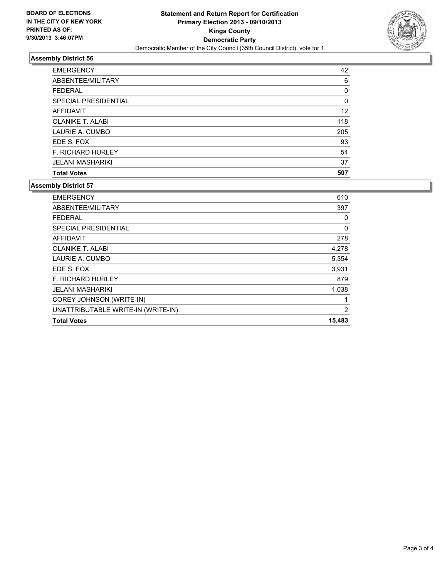

# **Assembly District 56**

| <b>EMERGENCY</b>         | 42  |
|--------------------------|-----|
| ABSENTEE/MILITARY        | 6   |
| <b>FEDERAL</b>           | 0   |
| SPECIAL PRESIDENTIAL     | 0   |
| AFFIDAVIT                | 12  |
| <b>OLANIKE T. ALABI</b>  | 118 |
| LAURIE A. CUMBO          | 205 |
| EDE S. FOX               | 93  |
| <b>F. RICHARD HURLEY</b> | 54  |
| <b>JELANI MASHARIKI</b>  | 37  |
| <b>Total Votes</b>       | 507 |

### **Assembly District 57**

| <b>Total Votes</b>                 | 15,483         |
|------------------------------------|----------------|
| UNATTRIBUTABLE WRITE-IN (WRITE-IN) | $\overline{2}$ |
| COREY JOHNSON (WRITE-IN)           | 1              |
| <b>JELANI MASHARIKI</b>            | 1,038          |
| <b>F. RICHARD HURLEY</b>           | 879            |
| EDE S. FOX                         | 3,931          |
| LAURIE A. CUMBO                    | 5,354          |
| <b>OLANIKE T. ALABI</b>            | 4,278          |
| AFFIDAVIT                          | 278            |
| SPECIAL PRESIDENTIAL               | 0              |
| <b>FEDERAL</b>                     | 0              |
| ABSENTEE/MILITARY                  | 397            |
| <b>EMERGENCY</b>                   | 610            |